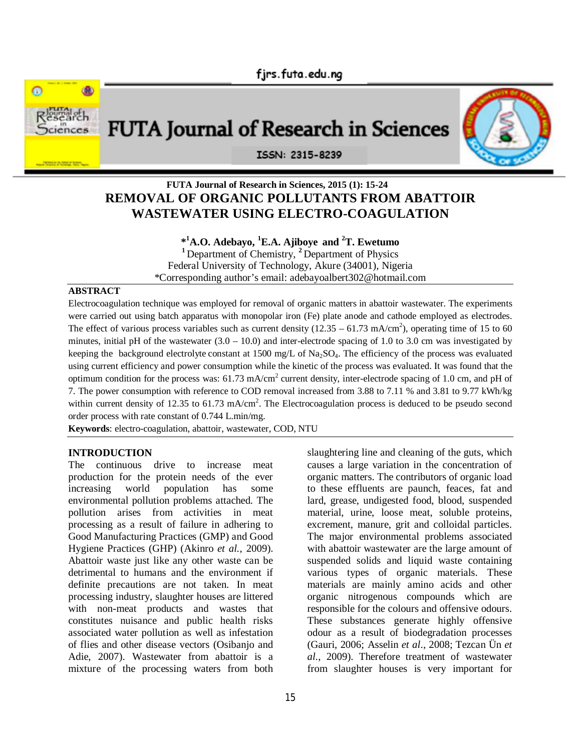

# **FUTA Journal of Research in Sciences, 2015 (1): 15-24 REMOVAL OF ORGANIC POLLUTANTS FROM ABATTOIR WASTEWATER USING ELECTRO-COAGULATION**

# **\* <sup>1</sup>A.O. Adebayo, <sup>1</sup>E.A. Ajiboye and <sup>2</sup>T. Ewetumo <sup>1</sup>**Department of Chemistry, **<sup>2</sup>**Department of Physics Federal University of Technology, Akure (34001), Nigeria \*Corresponding author's email: adebayoalbert302@hotmail.com

#### **ABSTRACT**

Electrocoagulation technique was employed for removal of organic matters in abattoir wastewater. The experiments were carried out using batch apparatus with monopolar iron (Fe) plate anode and cathode employed as electrodes. The effect of various process variables such as current density  $(12.35 - 61.73 \text{ mA/cm}^2)$ , operating time of 15 to 60 minutes, initial pH of the wastewater  $(3.0 - 10.0)$  and inter-electrode spacing of 1.0 to 3.0 cm was investigated by keeping the background electrolyte constant at 1500 mg/L of Na<sub>2</sub>SO<sub>4</sub>. The efficiency of the process was evaluated using current efficiency and power consumption while the kinetic of the process was evaluated. It was found that the optimum condition for the process was:  $61.73$  mA/cm<sup>2</sup> current density, inter-electrode spacing of 1.0 cm, and pH of 7. The power consumption with reference to COD removal increased from 3.88 to 7.11 % and 3.81 to 9.77 kWh/kg within current density of 12.35 to 61.73 mA/cm<sup>2</sup>. The Electrocoagulation process is deduced to be pseudo second order process with rate constant of 0.744 L.min/mg.

**Keywords**: electro-coagulation, abattoir, wastewater, COD, NTU

#### **INTRODUCTION**

The continuous drive to increase meat production for the protein needs of the ever increasing world population has some environmental pollution problems attached. The pollution arises from activities in meat processing as a result of failure in adhering to Good Manufacturing Practices (GMP) and Good Hygiene Practices (GHP) (Akinro *et al.*, 2009). Abattoir waste just like any other waste can be detrimental to humans and the environment if definite precautions are not taken. In meat processing industry, slaughter houses are littered with non-meat products and wastes that constitutes nuisance and public health risks associated water pollution as well as infestation of flies and other disease vectors (Osibanjo and Adie, 2007). Wastewater from abattoir is a mixture of the processing waters from both

slaughtering line and cleaning of the guts, which causes a large variation in the concentration of organic matters. The contributors of organic load to these effluents are paunch, feaces, fat and lard, grease, undigested food, blood, suspended material, urine, loose meat, soluble proteins, excrement, manure, grit and colloidal particles. The major environmental problems associated with abattoir wastewater are the large amount of suspended solids and liquid waste containing various types of organic materials. These materials are mainly amino acids and other organic nitrogenous compounds which are responsible for the colours and offensive odours. These substances generate highly offensive odour as a result of biodegradation processes (Gauri, 2006; Asselin *et al*., 2008; Tezcan Ün *et al.*, 2009). Therefore treatment of wastewater from slaughter houses is very important for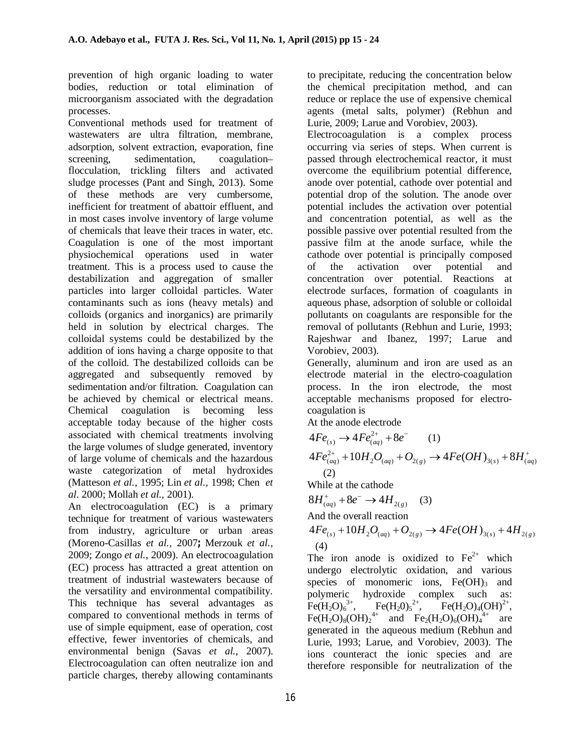prevention of high organic loading to water bodies, reduction or total elimination of microorganism associated with the degradation processes.

Conventional methods used for treatment of wastewaters are ultra filtration, membrane, adsorption, solvent extraction, evaporation, fine screening, sedimentation, coagulation– flocculation, trickling filters and activated sludge processes (Pant and Singh, 2013). Some of these methods are very cumbersome, inefficient for treatment of abattoir effluent, and in most cases involve inventory of large volume of chemicals that leave their traces in water, etc. Coagulation is one of the most important physiochemical operations used in water treatment. This is a process used to cause the destabilization and aggregation of smaller particles into larger colloidal particles. Water contaminants such as ions (heavy metals) and colloids (organics and inorganics) are primarily held in solution by electrical charges. The colloidal systems could be destabilized by the addition of ions having a charge opposite to that of the colloid. The destabilized colloids can be aggregated and subsequently removed by sedimentation and/or filtration. Coagulation can be achieved by chemical or electrical means. Chemical coagulation is becoming less acceptable today because of the higher costs associated with chemical treatments involving the large volumes of sludge generated, inventory of large volume of chemicals and the hazardous waste categorization of metal hydroxides (Matteson *et al.*, 1995; Lin *et al.,* 1998; Chen *et al*. 2000; Mollah *et al.,* 2001).

An electrocoagulation (EC) is a primary technique for treatment of various wastewaters from industry, agriculture or urban areas (Moreno-Casillas *et al.,* 2007**;** Merzouk *et al.*, 2009; Zongo *et al.*, 2009). An electrocoagulation (EC) process has attracted a great attention on treatment of industrial wastewaters because of the versatility and environmental compatibility. This technique has several advantages as compared to conventional methods in terms of use of simple equipment, ease of operation, cost effective, fewer inventories of chemicals, and environmental benign (Savas *et al.*, 2007). Electrocoagulation can often neutralize ion and particle charges, thereby allowing contaminants

to precipitate, reducing the concentration below the chemical precipitation method, and can reduce or replace the use of expensive chemical agents (metal salts, polymer) (Rebhun and Lurie, 2009; Larue and Vorobiev, 2003).

Electrocoagulation is a complex process occurring via series of steps. When current is passed through electrochemical reactor, it must overcome the equilibrium potential difference, anode over potential, cathode over potential and potential drop of the solution. The anode over potential includes the activation over potential and concentration potential, as well as the possible passive over potential resulted from the passive film at the anode surface, while the cathode over potential is principally composed of the activation over potential and concentration over potential. Reactions at electrode surfaces, formation of coagulants in aqueous phase, adsorption of soluble or colloidal pollutants on coagulants are responsible for the removal of pollutants (Rebhun and Lurie, 1993; Rajeshwar and Ibanez, 1997; Larue and Vorobiev, 2003).

Generally, aluminum and iron are used as an electrode material in the electro-coagulation process. In the iron electrode, the most acceptable mechanisms proposed for electrocoagulation is

At the anode electrode

$$
4Fe_{(s)} \to 4Fe_{(aq)}^{2+} + 8e^- \qquad (1)
$$
  
\n
$$
4Fe_{(aq)}^{2+} + 10H_2O_{(aq)} + O_{2(g)} \to 4Fe(OH)_{3(s)} + 8H_{(aq)}^+ \qquad (2)
$$
  
\nWhile at the cathode

$$
8H^+_{(aq)} + 8e^- \to 4H^-_{(g)} \tag{3}
$$

And the overall reaction

$$
4Fe_{(s)} + 10H_2O_{(aq)} + O_{2(g)} \rightarrow 4Fe(OH)_{3(s)} + 4H_{2(g)}
$$
  
(4)

The iron anode is oxidized to  $Fe<sup>2+</sup>$  which undergo electrolytic oxidation, and various species of monomeric ions,  $Fe(OH)_{3}$  and polymeric hydroxide complex such as:  $Fe(H<sub>2</sub>O)<sub>6</sub><sup>3+</sup>$ ,  $Fe(H<sub>2</sub>0)<sub>5</sub><sup>2+</sup>$ , <sup>2+</sup>,  $\overline{Fe(H_2O)_4(OH)}^{2+}$ ,  $Fe(H_2O)_8(OH)_2^{4+}$  and  $Fe_2(H_2O)_6(OH)_4$ are generated in the aqueous medium (Rebhun and Lurie, 1993; Larue, and Vorobiev, 2003). The ions counteract the ionic species and are therefore responsible for neutralization of the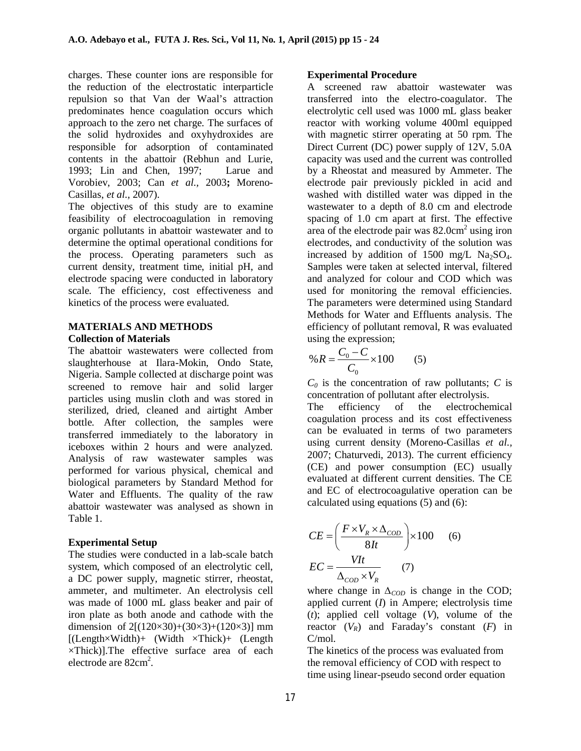charges. These counter ions are responsible for the reduction of the electrostatic interparticle repulsion so that Van der Waal's attraction predominates hence coagulation occurs which approach to the zero net charge. The surfaces of the solid hydroxides and oxyhydroxides are responsible for adsorption of contaminated contents in the abattoir (Rebhun and Lurie, 1993; Lin and Chen, 1997; Larue and Vorobiev, 2003; Can *et al.,* 2003**;** Moreno-Casillas, *et al.,* 2007).

The objectives of this study are to examine feasibility of electrocoagulation in removing organic pollutants in abattoir wastewater and to determine the optimal operational conditions for the process. Operating parameters such as current density, treatment time, initial pH, and electrode spacing were conducted in laboratory scale. The efficiency, cost effectiveness and kinetics of the process were evaluated.

### **MATERIALS AND METHODS Collection of Materials**

The abattoir wastewaters were collected from slaughterhouse at Ilara-Mokin, Ondo State, Nigeria. Sample collected at discharge point was screened to remove hair and solid larger particles using muslin cloth and was stored in sterilized, dried, cleaned and airtight Amber bottle. After collection, the samples were transferred immediately to the laboratory in iceboxes within 2 hours and were analyzed. Analysis of raw wastewater samples was performed for various physical, chemical and biological parameters by Standard Method for Water and Effluents. The quality of the raw abattoir wastewater was analysed as shown in Table 1.

# **Experimental Setup**

The studies were conducted in a lab-scale batch system, which composed of an electrolytic cell, a DC power supply, magnetic stirrer, rheostat, ammeter, and multimeter. An electrolysis cell was made of 1000 mL glass beaker and pair of iron plate as both anode and cathode with the dimension of  $2[(120\times30)+(30\times3)+(120\times3)]$  mm  $[(Length \times Width) + (Width \times Thick) + (Length$ ×Thick)].The effective surface area of each electrode are  $82 \text{cm}^2$ .

### **Experimental Procedure**

A screened raw abattoir wastewater was transferred into the electro-coagulator. The electrolytic cell used was 1000 mL glass beaker reactor with working volume 400ml equipped with magnetic stirrer operating at 50 rpm. The Direct Current (DC) power supply of 12V, 5.0A capacity was used and the current was controlled by a Rheostat and measured by Ammeter. The electrode pair previously pickled in acid and washed with distilled water was dipped in the wastewater to a depth of 8.0 cm and electrode spacing of 1.0 cm apart at first. The effective area of the electrode pair was  $82.0 \text{cm}^2$  using iron electrodes, and conductivity of the solution was increased by addition of 1500 mg/L  $Na<sub>2</sub>SO<sub>4</sub>$ . Samples were taken at selected interval, filtered and analyzed for colour and COD which was used for monitoring the removal efficiencies. The parameters were determined using Standard Methods for Water and Effluents analysis. The efficiency of pollutant removal, R was evaluated using the expression;

$$
\% R = \frac{C_0 - C}{C_0} \times 100 \tag{5}
$$

 $C_0$  is the concentration of raw pollutants; *C* is concentration of pollutant after electrolysis.

The efficiency of the electrochemical coagulation process and its cost effectiveness can be evaluated in terms of two parameters using current density (Moreno-Casillas *et al.,* 2007; Chaturvedi, 2013). The current efficiency (CE) and power consumption (EC) usually evaluated at different current densities. The CE and EC of electrocoagulative operation can be calculated using equations (5) and (6):

$$
CE = \left(\frac{F \times V_R \times \Delta_{COD}}{8It}\right) \times 100 \qquad (6)
$$
  
 
$$
EC = \frac{VIt}{\Delta_{COD} \times V_R} \qquad (7)
$$

where change in *∆<sub>COD</sub>* is change in the COD; applied current (*I*) in Ampere; electrolysis time (*t*); applied cell voltage (*V*), volume of the reactor  $(V_R)$  and Faraday's constant  $(F)$  in C/mol.

The kinetics of the process was evaluated from the removal efficiency of COD with respect to time using linear-pseudo second order equation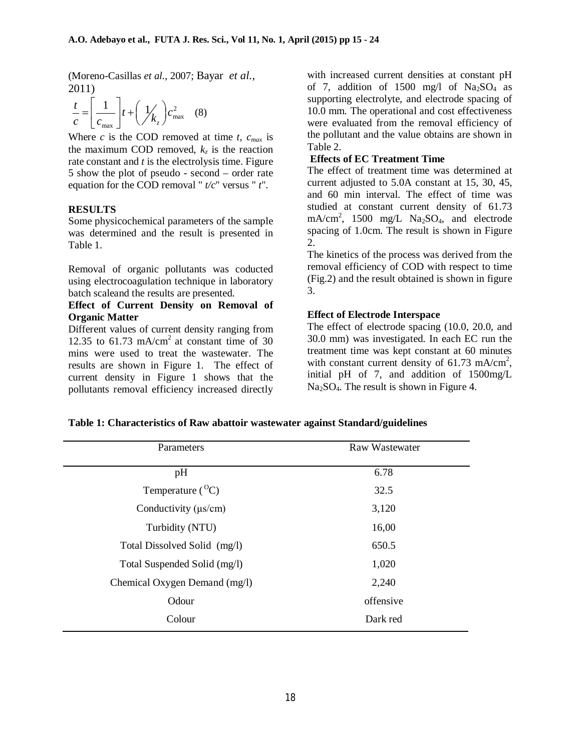(Moreno-Casillas *et al.*, 2007; Bayar *et al.*, 2011)

$$
\frac{t}{c} = \left[\frac{1}{c_{\text{max}}}\right]t + \left(\frac{1}{k_z}\right)c_{\text{max}}^2 \quad (8)
$$

Where *c* is the COD removed at time *t*,  $c_{max}$  is the maximum COD removed,  $k_z$  is the reaction rate constant and *t* is the electrolysis time. Figure 5 show the plot of pseudo - second – order rate equation for the COD removal " *t/c*" versus " *t*".

# **RESULTS**

Some physicochemical parameters of the sample was determined and the result is presented in Table 1.

Removal of organic pollutants was coducted using electrocoagulation technique in laboratory batch scaleand the results are presented.

# **Effect of Current Density on Removal of Organic Matter**

Different values of current density ranging from 12.35 to 61.73 mA/cm<sup>2</sup> at constant time of 30 mins were used to treat the wastewater. The results are shown in Figure 1. The effect of current density in Figure 1 shows that the pollutants removal efficiency increased directly

with increased current densities at constant pH of 7, addition of 1500 mg/l of  $Na<sub>2</sub>SO<sub>4</sub>$  as supporting electrolyte, and electrode spacing of 10.0 mm. The operational and cost effectiveness were evaluated from the removal efficiency of the pollutant and the value obtains are shown in Table 2.

## **Effects of EC Treatment Time**

The effect of treatment time was determined at current adjusted to 5.0A constant at 15, 30, 45, and 60 min interval. The effect of time was studied at constant current density of 61.73 mA/cm<sup>2</sup>, 1500 mg/L Na<sub>2</sub>SO<sub>4</sub>, and electrode spacing of 1.0cm. The result is shown in Figure 2.

The kinetics of the process was derived from the removal efficiency of COD with respect to time (Fig.2) and the result obtained is shown in figure 3.

# **Effect of Electrode Interspace**

The effect of electrode spacing (10.0, 20.0, and 30.0 mm) was investigated. In each EC run the treatment time was kept constant at 60 minutes with constant current density of 61.73 mA/cm<sup>2</sup>, initial pH of 7, and addition of 1500mg/L  $Na<sub>2</sub>SO<sub>4</sub>$ . The result is shown in Figure 4.

| Parameters                    | Raw Wastewater |
|-------------------------------|----------------|
|                               |                |
| pH                            | 6.78           |
| Temperature $({}^{0}C)$       | 32.5           |
| Conductivity $(\mu s/cm)$     | 3,120          |
| Turbidity (NTU)               | 16,00          |
| Total Dissolved Solid (mg/l)  | 650.5          |
| Total Suspended Solid (mg/l)  | 1,020          |
| Chemical Oxygen Demand (mg/l) | 2,240          |
| Odour                         | offensive      |
| Colour                        | Dark red       |

| Table 1: Characteristics of Raw abattoir wastewater against Standard/guidelines |  |  |
|---------------------------------------------------------------------------------|--|--|
|                                                                                 |  |  |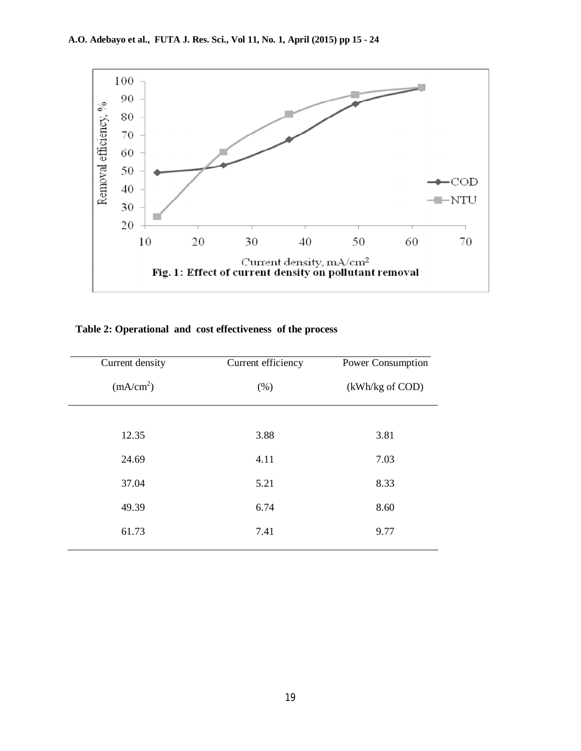

# **Table 2: Operational and cost effectiveness of the process**

| Current density       | Current efficiency | Power Consumption |
|-----------------------|--------------------|-------------------|
| (mA/cm <sup>2</sup> ) | (% )               | (kWh/kg of COD)   |
|                       |                    |                   |
| 12.35                 | 3.88               | 3.81              |
| 24.69                 | 4.11               | 7.03              |
| 37.04                 | 5.21               | 8.33              |
| 49.39                 | 6.74               | 8.60              |
| 61.73                 | 7.41               | 9.77              |
|                       |                    |                   |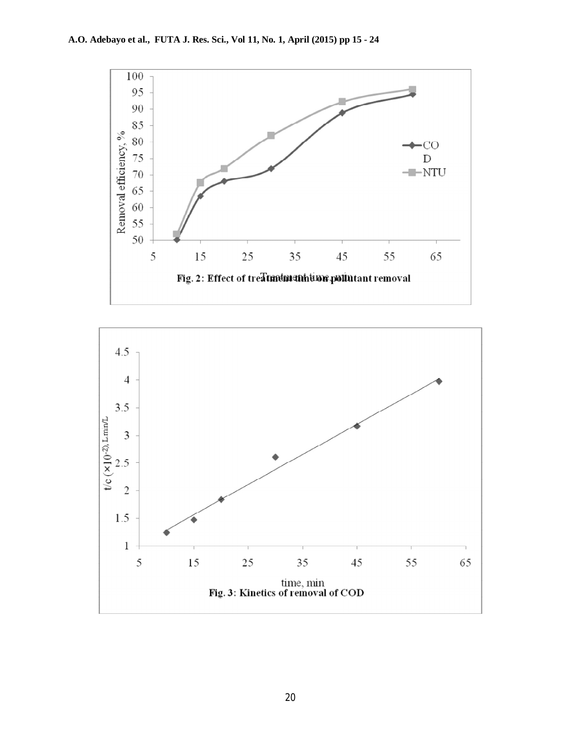

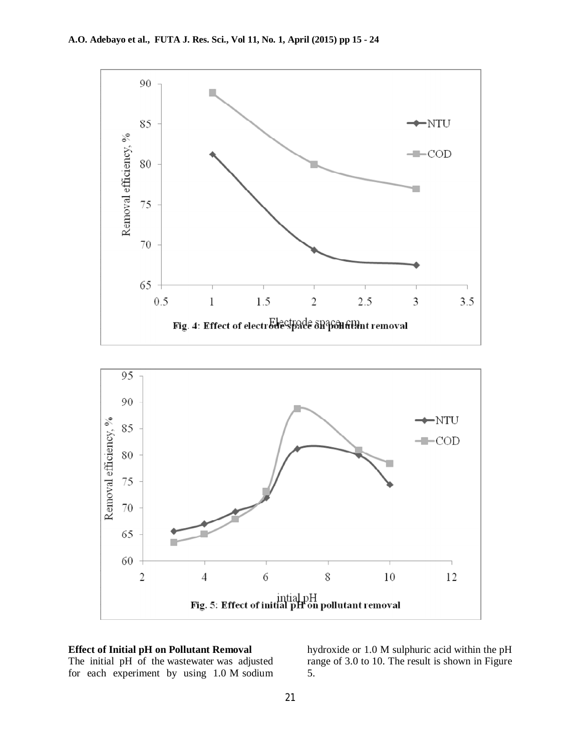

# **Effect of Initial pH on Pollutant Removal**

The initial pH of the wastewater was adjusted for each experiment by using 1.0 M sodium hydroxide or 1.0 M sulphuric acid within the pH range of 3.0 to 10. The result is shown in Figure 5.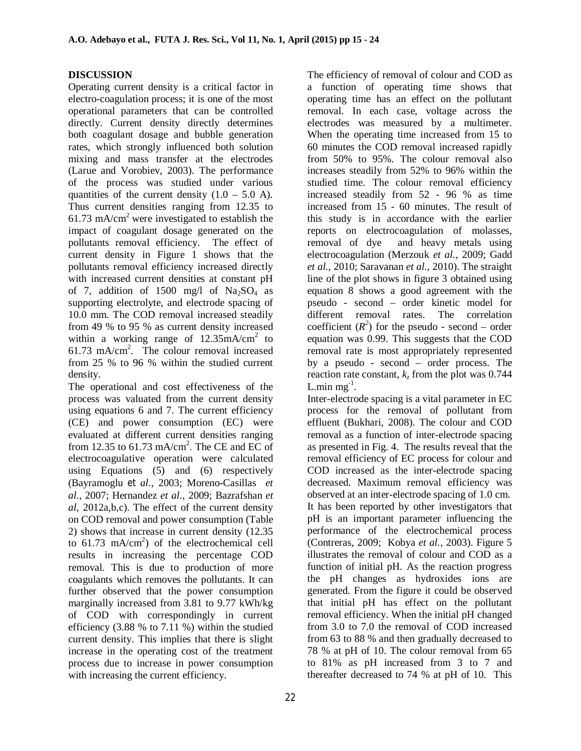# **DISCUSSION**

Operating current density is a critical factor in electro-coagulation process; it is one of the most operational parameters that can be controlled directly. Current density directly determines both coagulant dosage and bubble generation rates, which strongly influenced both solution mixing and mass transfer at the electrodes (Larue and Vorobiev, 2003). The performance of the process was studied under various quantities of the current density  $(1.0 - 5.0 A)$ . Thus current densities ranging from 12.35 to 61.73 mA/cm<sup>2</sup> were investigated to establish the impact of coagulant dosage generated on the pollutants removal efficiency. The effect of current density in Figure 1 shows that the pollutants removal efficiency increased directly with increased current densities at constant pH of 7, addition of 1500 mg/l of  $Na<sub>2</sub>SO<sub>4</sub>$  as supporting electrolyte, and electrode spacing of 10.0 mm. The COD removal increased steadily from 49 % to 95 % as current density increased within a working range of  $12.35 \text{mA/cm}^2$  to 61.73 mA/cm<sup>2</sup>. The colour removal increased from 25 % to 96 % within the studied current density.

The operational and cost effectiveness of the process was valuated from the current density using equations 6 and 7. The current efficiency (CE) and power consumption (EC) were evaluated at different current densities ranging from 12.35 to 61.73 mA/cm<sup>2</sup>. The CE and EC of electrocoagulative operation were calculated using Equations (5) and (6) respectively (Bayramoglu *et al*., 2003; Moreno-Casillas *et al.*, 2007; Hernandez *et al*., 2009; Bazrafshan *et al*, 2012a,b,c). The effect of the current density on COD removal and power consumption (Table 2) shows that increase in current density (12.35 to  $61.73$  mA/cm<sup>2</sup>) of the electrochemical cell results in increasing the percentage COD removal. This is due to production of more coagulants which removes the pollutants. It can further observed that the power consumption marginally increased from 3.81 to 9.77 kWh/kg of COD with correspondingly in current efficiency (3.88 % to 7.11 %) within the studied current density. This implies that there is slight increase in the operating cost of the treatment process due to increase in power consumption with increasing the current efficiency.

The efficiency of removal of colour and COD as a function of operating time shows that operating time has an effect on the pollutant removal. In each case, voltage across the electrodes was measured by a multimeter. When the operating time increased from 15 to 60 minutes the COD removal increased rapidly from 50% to 95%. The colour removal also increases steadily from 52% to 96% within the studied time. The colour removal efficiency increased steadily from 52 - 96 % as time increased from 15 - 60 minutes. The result of this study is in accordance with the earlier reports on electrocoagulation of molasses, removal of dye and heavy metals using electrocoagulation (Merzouk *et al.*, 2009; Gadd *et al.*, 2010; Saravanan *et al.*, 2010). The straight line of the plot shows in figure 3 obtained using equation 8 shows a good agreement with the pseudo - second – order kinetic model for different removal rates. The correlation coefficient  $(R^2)$  for the pseudo - second – order equation was 0.99. This suggests that the COD removal rate is most appropriately represented by a pseudo - second – order process. The reaction rate constant,  $k_z$  from the plot was 0.744 L.min  $mg^{-1}$ .

Inter-electrode spacing is a vital parameter in EC process for the removal of pollutant from effluent (Bukhari, 2008). The colour and COD removal as a function of inter-electrode spacing as presented in Fig. 4. The results reveal that the removal efficiency of EC process for colour and COD increased as the inter-electrode spacing decreased. Maximum removal efficiency was observed at an inter-electrode spacing of 1.0 cm. It has been reported by other investigators that pH is an important parameter influencing the performance of the electrochemical process (Contreras, 2009; Kobya *et al.*, 2003). Figure 5 illustrates the removal of colour and COD as a function of initial pH. As the reaction progress the pH changes as hydroxides ions are generated. From the figure it could be observed that initial pH has effect on the pollutant removal efficiency. When the initial pH changed from 3.0 to 7.0 the removal of COD increased from 63 to 88 % and then gradually decreased to 78 % at pH of 10. The colour removal from 65 to 81% as pH increased from 3 to 7 and thereafter decreased to 74 % at pH of 10. This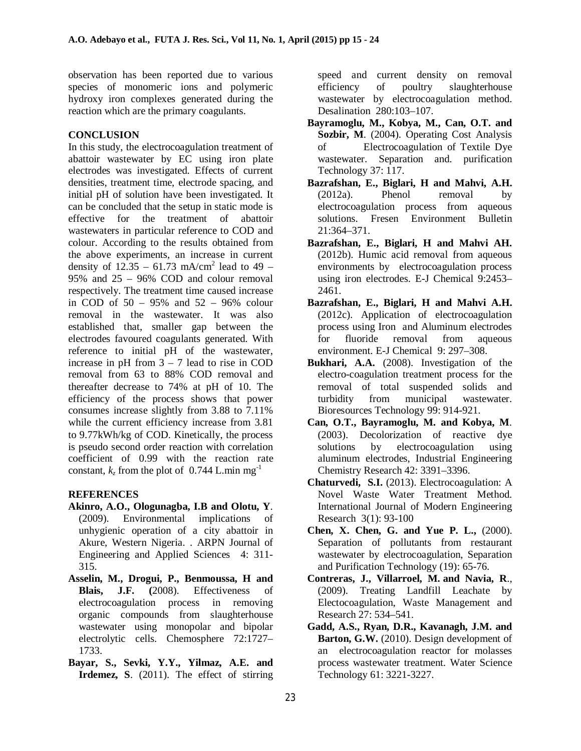observation has been reported due to various species of monomeric ions and polymeric hydroxy iron complexes generated during the reaction which are the primary coagulants.

# **CONCLUSION**

In this study, the electrocoagulation treatment of abattoir wastewater by EC using iron plate electrodes was investigated. Effects of current densities, treatment time, electrode spacing, and initial pH of solution have been investigated. It can be concluded that the setup in static mode is effective for the treatment of abattoir wastewaters in particular reference to COD and colour. According to the results obtained from the above experiments, an increase in current density of  $12.35 - 61.73$  mA/cm<sup>2</sup> lead to 49 – 95% and 25 – 96% COD and colour removal respectively. The treatment time caused increase in COD of 50 – 95% and 52 – 96% colour removal in the wastewater. It was also established that, smaller gap between the electrodes favoured coagulants generated. With reference to initial pH of the wastewater, increase in  $pH$  from  $3 - 7$  lead to rise in COD removal from 63 to 88% COD removal and thereafter decrease to 74% at pH of 10. The efficiency of the process shows that power consumes increase slightly from 3.88 to 7.11% while the current efficiency increase from 3.81 to 9.77kWh/kg of COD. Kinetically, the process is pseudo second order reaction with correlation coefficient of 0.99 with the reaction rate constant,  $k_z$  from the plot of 0.744 L.min mg<sup>-1</sup>

# **REFERENCES**

- **Akinro, A.O., Ologunagba, I.B and Olotu, Y**. (2009). Environmental implications of unhygienic operation of a city abattoir in Akure, Western Nigeria. . ARPN Journal of Engineering and Applied Sciences 4: 311- 315.
- **Asselin, M., Drogui, P., Benmoussa, H and Blais, J.F. (**2008). Effectiveness of electrocoagulation process in removing organic compounds from slaughterhouse wastewater using monopolar and bipolar electrolytic cells. Chemosphere 72:1727– 1733.
- **Bayar, S., Sevki, Y.Y., Yilmaz, A.E. and Irdemez, S**. (2011). The effect of stirring

speed and current density on removal efficiency of poultry slaughterhouse wastewater by electrocoagulation method. Desalination 280:103–107.

- **Bayramoglu, M., Kobya, M., Can, O.T. and Sozbir, M**. (2004). Operating Cost Analysis of Electrocoagulation of Textile Dye wastewater. Separation and. purification Technology 37: 117.
- **Bazrafshan, E., Biglari, H and Mahvi, A.H.** (2012a). Phenol removal by electrocoagulation process from aqueous solutions. Fresen Environment Bulletin 21:364–371.
- **Bazrafshan, E., Biglari, H and Mahvi AH.** (2012b). Humic acid removal from aqueous environments by electrocoagulation process using iron electrodes. E-J Chemical 9:2453– 2461.
- **Bazrafshan, E., Biglari, H and Mahvi A.H.** (2012c). Application of electrocoagulation process using Iron and Aluminum electrodes for fluoride removal from aqueous environment. E-J Chemical 9: 297–308.
- **Bukhari, A.A.** (2008). Investigation of the electro-coagulation treatment process for the removal of total suspended solids and turbidity from municipal wastewater. Bioresources Technology 99: 914-921.
- **Can, O.T., Bayramoglu, M. and Kobya, M**. (2003). Decolorization of reactive dye solutions by electrocoagulation using aluminum electrodes, Industrial Engineering Chemistry Research 42: 3391–3396.
- **Chaturvedi, S.I.** (2013). Electrocoagulation: A Novel Waste Water Treatment Method. International Journal of Modern Engineering Research 3(1): 93-100
- **Chen, X. Chen, G. and Yue P. L.,** (2000). Separation of pollutants from restaurant wastewater by electrocoagulation, Separation and Purification Technology (19): 65-76.
- **Contreras, J., Villarroel, M. and Navia, R**., (2009). Treating Landfill Leachate by Electocoagulation, Waste Management and Research 27: 534–541.
- **Gadd, A.S., Ryan, D.R., Kavanagh, J.M. and Barton, G.W.** (2010). Design development of an electrocoagulation reactor for molasses process wastewater treatment. Water Science Technology 61: 3221-3227.